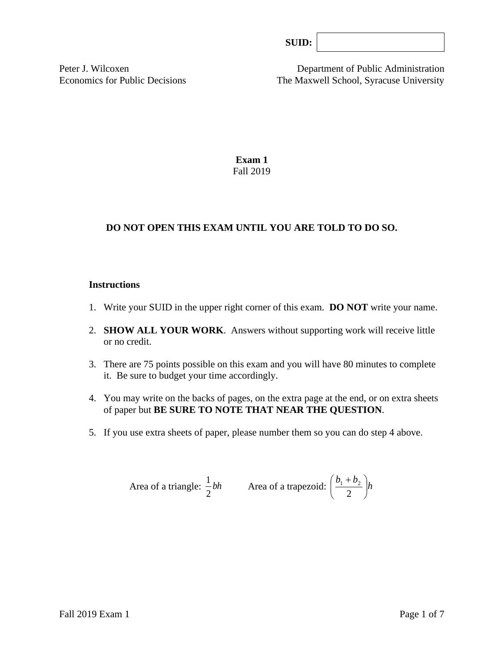| Ш |  |
|---|--|
|---|--|

Peter J. Wilcoxen Department of Public Administration Economics for Public Decisions The Maxwell School, Syracuse University

> **Exam 1** Fall 2019

# **DO NOT OPEN THIS EXAM UNTIL YOU ARE TOLD TO DO SO.**

#### **Instructions**

- 1. Write your SUID in the upper right corner of this exam. **DO NOT** write your name.
- 2. **SHOW ALL YOUR WORK**. Answers without supporting work will receive little or no credit.
- 3. There are 75 points possible on this exam and you will have 80 minutes to complete it. Be sure to budget your time accordingly.
- 4. You may write on the backs of pages, on the extra page at the end, or on extra sheets of paper but **BE SURE TO NOTE THAT NEAR THE QUESTION**.
- 5. If you use extra sheets of paper, please number them so you can do step 4 above.

Area of a triangle: 
$$
\frac{1}{2}bh
$$
 Area of a trapezoid:  $\left(\frac{b_1 + b_2}{2}\right)h$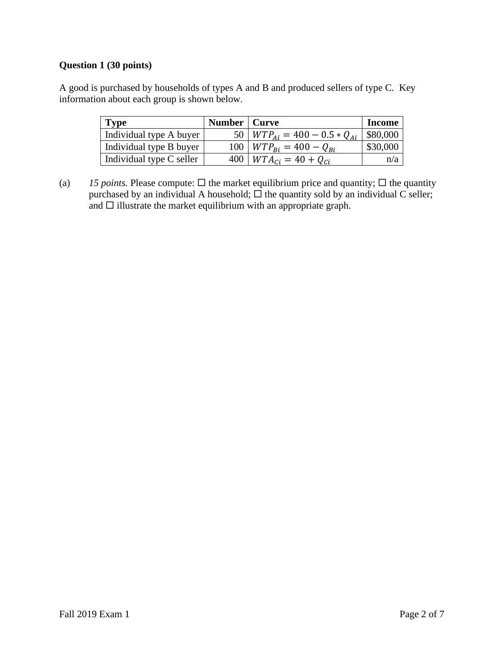# **Question 1 (30 points)**

A good is purchased by households of types A and B and produced sellers of type C. Key information about each group is shown below.

| <b>Type</b>              | Number   Curve |                                      | <b>Income</b> |
|--------------------------|----------------|--------------------------------------|---------------|
| Individual type A buyer  |                | 50   $WTP_{Ai} = 400 - 0.5 * Q_{Ai}$ | \$80,000      |
| Individual type B buyer  |                | 100   $WTP_{Bi} = 400 - Q_{Bi}$      | \$30,000      |
| Individual type C seller |                | 400   $WTA_{Ci} = 40 + Q_{Ci}$       | n/a           |

(a) *15 points.* Please compute:  $\Box$  the market equilibrium price and quantity;  $\Box$  the quantity purchased by an individual A household;  $\Box$  the quantity sold by an individual C seller; and  $\square$  illustrate the market equilibrium with an appropriate graph.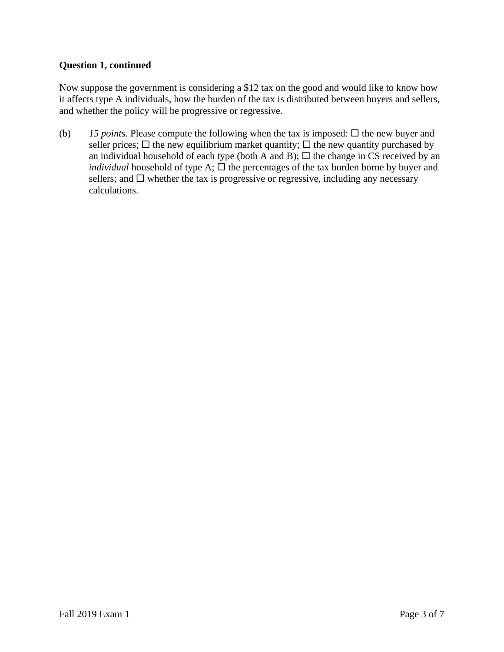### **Question 1, continued**

Now suppose the government is considering a \$12 tax on the good and would like to know how it affects type A individuals, how the burden of the tax is distributed between buyers and sellers, and whether the policy will be progressive or regressive.

(b) 15 *points*. Please compute the following when the tax is imposed:  $\Box$  the new buyer and seller prices;  $\Box$  the new equilibrium market quantity;  $\Box$  the new quantity purchased by an individual household of each type (both A and B);  $\Box$  the change in CS received by an *individual* household of type A;  $\Box$  the percentages of the tax burden borne by buyer and sellers; and  $\Box$  whether the tax is progressive or regressive, including any necessary calculations.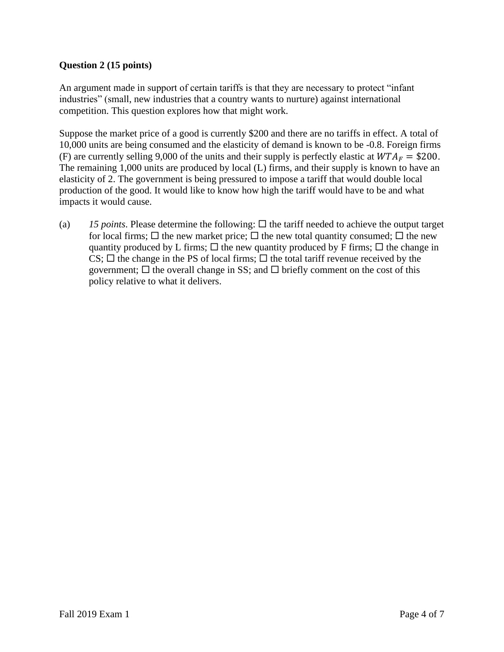# **Question 2 (15 points)**

An argument made in support of certain tariffs is that they are necessary to protect "infant industries" (small, new industries that a country wants to nurture) against international competition. This question explores how that might work.

Suppose the market price of a good is currently \$200 and there are no tariffs in effect. A total of 10,000 units are being consumed and the elasticity of demand is known to be -0.8. Foreign firms (F) are currently selling 9,000 of the units and their supply is perfectly elastic at  $WTA_F = $200$ . The remaining 1,000 units are produced by local (L) firms, and their supply is known to have an elasticity of 2. The government is being pressured to impose a tariff that would double local production of the good. It would like to know how high the tariff would have to be and what impacts it would cause.

(a)  $15$  *points*. Please determine the following:  $\Box$  the tariff needed to achieve the output target for local firms;  $\Box$  the new market price;  $\Box$  the new total quantity consumed;  $\Box$  the new quantity produced by L firms;  $\Box$  the new quantity produced by F firms;  $\Box$  the change in CS;  $\Box$  the change in the PS of local firms;  $\Box$  the total tariff revenue received by the government;  $\Box$  the overall change in SS; and  $\Box$  briefly comment on the cost of this policy relative to what it delivers.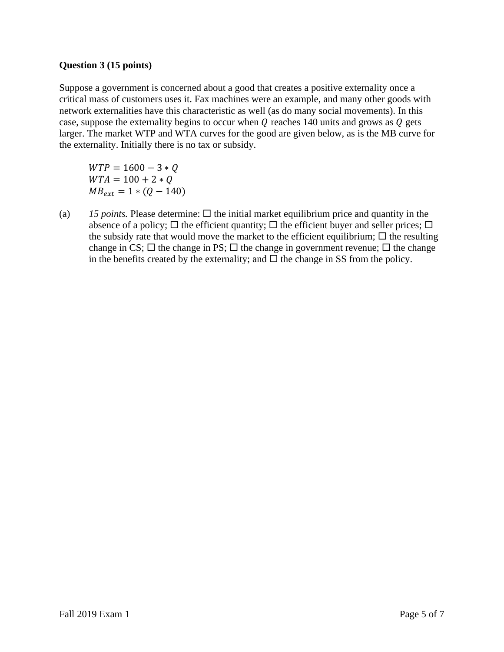#### **Question 3 (15 points)**

Suppose a government is concerned about a good that creates a positive externality once a critical mass of customers uses it. Fax machines were an example, and many other goods with network externalities have this characteristic as well (as do many social movements). In this case, suppose the externality begins to occur when  $Q$  reaches 140 units and grows as  $Q$  gets larger. The market WTP and WTA curves for the good are given below, as is the MB curve for the externality. Initially there is no tax or subsidy.

 $WTP = 1600 - 3 * Q$  $WTA = 100 + 2 * Q$  $MB_{ext} = 1 * (Q - 140)$ 

(a)  $15$  *points.* Please determine:  $\Box$  the initial market equilibrium price and quantity in the absence of a policy;  $\Box$  the efficient quantity;  $\Box$  the efficient buyer and seller prices;  $\Box$ the subsidy rate that would move the market to the efficient equilibrium;  $\Box$  the resulting change in CS;  $\Box$  the change in PS;  $\Box$  the change in government revenue;  $\Box$  the change in the benefits created by the externality; and  $\Box$  the change in SS from the policy.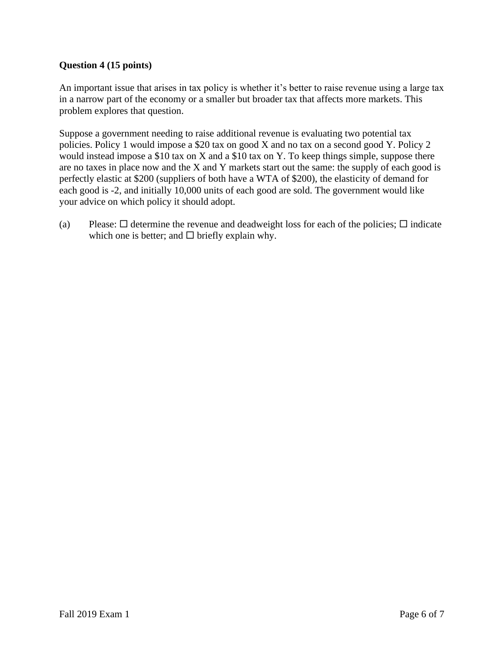## **Question 4 (15 points)**

An important issue that arises in tax policy is whether it's better to raise revenue using a large tax in a narrow part of the economy or a smaller but broader tax that affects more markets. This problem explores that question.

Suppose a government needing to raise additional revenue is evaluating two potential tax policies. Policy 1 would impose a \$20 tax on good X and no tax on a second good Y. Policy 2 would instead impose a \$10 tax on X and a \$10 tax on Y. To keep things simple, suppose there are no taxes in place now and the X and Y markets start out the same: the supply of each good is perfectly elastic at \$200 (suppliers of both have a WTA of \$200), the elasticity of demand for each good is -2, and initially 10,000 units of each good are sold. The government would like your advice on which policy it should adopt.

(a) Please:  $\Box$  determine the revenue and deadweight loss for each of the policies;  $\Box$  indicate which one is better; and  $\Box$  briefly explain why.